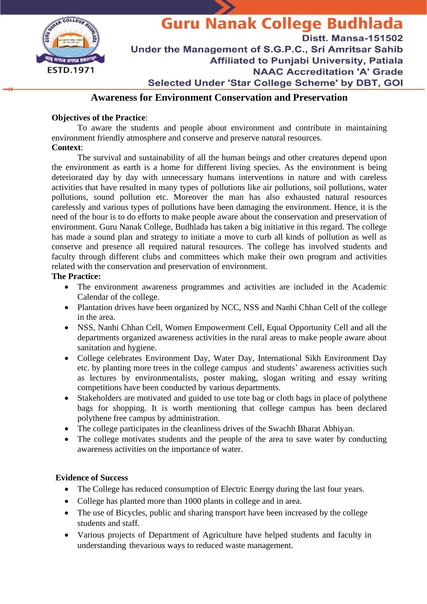

# **Guru Nanak College Budhlada Distt. Mansa-151502** Under the Management of S.G.P.C., Sri Amritsar Sahib **Affiliated to Puniabi University, Patiala NAAC Accreditation 'A' Grade** Selected Under 'Star College Scheme' by DBT, GOI

## **Awareness for Environment Conservation and Preservation**

## **Objectives of the Practice**:

To aware the students and people about environment and contribute in maintaining environment friendly atmosphere and conserve and preserve natural resources.

## **Context**:

The survival and sustainability of all the human beings and other creatures depend upon the environment as earth is a home for different living species. As the environment is being deteriorated day by day with unnecessary humans interventions in nature and with careless activities that have resulted in many types of pollutions like air pollutions, soil pollutions, water pollutions, sound pollution etc. Moreover the man has also exhausted natural resources carelessly and various types of pollutions have been damaging the environment. Hence, it is the need of the hour is to do efforts to make people aware about the conservation and preservation of environment. Guru Nanak College, Budhlada has taken a big initiative in this regard. The college has made a sound plan and strategy to initiate a move to curb all kinds of pollution as well as conserve and presence all required natural resources. The college has involved students and faculty through different clubs and committees which make their own program and activities related with the conservation and preservation of environment.

### **The Practice:**

- The environment awareness programmes and activities are included in the Academic Calendar of the college.
- Plantation drives have been organized by NCC, NSS and Nanhi Chhan Cell of the college in the area.
- NSS, Nanhi Chhan Cell, Women Empowerment Cell, Equal Opportunity Cell and all the departments organized awareness activities in the rural areas to make people aware about sanitation and hygiene.
- College celebrates Environment Day, Water Day, International Sikh Environment Day etc. by planting more trees in the college campus and students' awareness activities such as lectures by environmentalists, poster making, slogan writing and essay writing competitions have been conducted by various departments.
- Stakeholders are motivated and guided to use tote bag or cloth bags in place of polythene bags for shopping. It is worth mentioning that college campus has been declared polythene free campus by administration.
- The college participates in the cleanliness drives of the Swachh Bharat Abhiyan.
- The college motivates students and the people of the area to save water by conducting awareness activities on the importance of water.

#### **Evidence of Success**

- The College has reduced consumption of Electric Energy during the last four years.
- College has planted more than 1000 plants in college and in area.
- The use of Bicycles, public and sharing transport have been increased by the college students and staff.
- Various projects of Department of Agriculture have helped students and faculty in understanding thevarious ways to reduced waste management.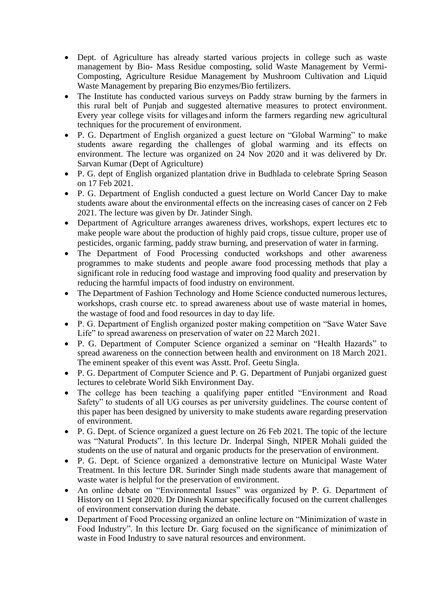- Dept. of Agriculture has already started various projects in college such as waste management by Bio- Mass Residue composting, solid Waste Management by Vermi-Composting, Agriculture Residue Management by Mushroom Cultivation and Liquid Waste Management by preparing Bio enzymes/Bio fertilizers.
- The Institute has conducted various surveys on Paddy straw burning by the farmers in this rural belt of Punjab and suggested alternative measures to protect environment. Every year college visits for villages and inform the farmers regarding new agricultural techniques for the procurement of environment.
- P. G. Department of English organized a guest lecture on "Global Warming" to make students aware regarding the challenges of global warming and its effects on environment. The lecture was organized on 24 Nov 2020 and it was delivered by Dr. Sarvan Kumar (Dept of Agriculture)
- P. G. dept of English organized plantation drive in Budhlada to celebrate Spring Season on 17 Feb 2021.
- P. G. Department of English conducted a guest lecture on World Cancer Day to make students aware about the environmental effects on the increasing cases of cancer on 2 Feb 2021. The lecture was given by Dr. Jatinder Singh.
- Department of Agriculture arranges awareness drives, workshops, expert lectures etc to make people ware about the production of highly paid crops, tissue culture, proper use of pesticides, organic farming, paddy straw burning, and preservation of water in farming.
- The Department of Food Processing conducted workshops and other awareness programmes to make students and people aware food processing methods that play a significant role in reducing food wastage and improving food quality and preservation by reducing the harmful impacts of food industry on environment.
- The Department of Fashion Technology and Home Science conducted numerous lectures, workshops, crash course etc. to spread awareness about use of waste material in homes, the wastage of food and food resources in day to day life.
- P. G. Department of English organized poster making competition on "Save Water Save Life" to spread awareness on preservation of water on 22 March 2021.
- P. G. Department of Computer Science organized a seminar on "Health Hazards" to spread awareness on the connection between health and environment on 18 March 2021. The eminent speaker of this event was Asstt. Prof. Geetu Singla.
- P. G. Department of Computer Science and P. G. Department of Punjabi organized guest lectures to celebrate World Sikh Environment Day.
- The college has been teaching a qualifying paper entitled "Environment and Road" Safety" to students of all UG courses as per university guidelines. The course content of this paper has been designed by university to make students aware regarding preservation of environment.
- P. G. Dept. of Science organized a guest lecture on 26 Feb 2021. The topic of the lecture was "Natural Products". In this lecture Dr. Inderpal Singh, NIPER Mohali guided the students on the use of natural and organic products for the preservation of environment.
- P. G. Dept. of Science organized a demonstrative lecture on Municipal Waste Water Treatment. In this lecture DR. Surinder Singh made students aware that management of waste water is helpful for the preservation of environment.
- An online debate on "Environmental Issues" was organized by P. G. Department of History on 11 Sept 2020. Dr Dinesh Kumar specifically focused on the current challenges of environment conservation during the debate.
- Department of Food Processing organized an online lecture on "Minimization of waste in Food Industry". In this lecture Dr. Garg focused on the significance of minimization of waste in Food Industry to save natural resources and environment.